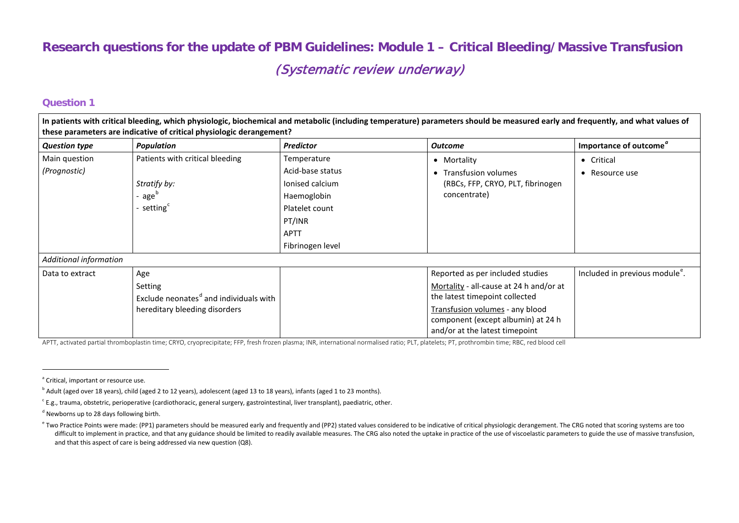# <span id="page-0-4"></span><span id="page-0-3"></span><span id="page-0-2"></span><span id="page-0-1"></span><span id="page-0-0"></span>**Research questions for the update of PBM Guidelines: Module 1 – Critical Bleeding/Massive Transfusion** (Systematic review underway)

#### **Question 1**

|                                                                      |                                                    |                  | In patients with critical bleeding, which physiologic, biochemical and metabolic (including temperature) parameters should be measured early and frequently, and what values of |                                            |  |  |  |  |
|----------------------------------------------------------------------|----------------------------------------------------|------------------|---------------------------------------------------------------------------------------------------------------------------------------------------------------------------------|--------------------------------------------|--|--|--|--|
| these parameters are indicative of critical physiologic derangement? |                                                    |                  |                                                                                                                                                                                 |                                            |  |  |  |  |
| <b>Question type</b>                                                 | <b>Population</b>                                  | <b>Predictor</b> | <b>Outcome</b>                                                                                                                                                                  | Importance of outcome <sup>"</sup>         |  |  |  |  |
| Main question                                                        | Patients with critical bleeding                    | Temperature      | • Mortality                                                                                                                                                                     | • Critical                                 |  |  |  |  |
| (Prognostic)                                                         |                                                    | Acid-base status | • Transfusion volumes                                                                                                                                                           | $\bullet$ Resource use                     |  |  |  |  |
|                                                                      | Stratify by:                                       | lonised calcium  | (RBCs, FFP, CRYO, PLT, fibrinogen                                                                                                                                               |                                            |  |  |  |  |
|                                                                      | - age <sup>b</sup>                                 | Haemoglobin      | concentrate)                                                                                                                                                                    |                                            |  |  |  |  |
|                                                                      | - setting <sup>c</sup>                             | Platelet count   |                                                                                                                                                                                 |                                            |  |  |  |  |
|                                                                      |                                                    | PT/INR           |                                                                                                                                                                                 |                                            |  |  |  |  |
|                                                                      |                                                    | <b>APTT</b>      |                                                                                                                                                                                 |                                            |  |  |  |  |
|                                                                      |                                                    | Fibrinogen level |                                                                                                                                                                                 |                                            |  |  |  |  |
| Additional information                                               |                                                    |                  |                                                                                                                                                                                 |                                            |  |  |  |  |
| Data to extract                                                      | Age                                                |                  | Reported as per included studies                                                                                                                                                | Included in previous module <sup>e</sup> . |  |  |  |  |
|                                                                      | Setting                                            |                  | Mortality - all-cause at 24 h and/or at                                                                                                                                         |                                            |  |  |  |  |
|                                                                      | Exclude neonates <sup>d</sup> and individuals with |                  | the latest timepoint collected                                                                                                                                                  |                                            |  |  |  |  |
|                                                                      | hereditary bleeding disorders                      |                  | Transfusion volumes - any blood                                                                                                                                                 |                                            |  |  |  |  |
|                                                                      |                                                    |                  | component (except albumin) at 24 h                                                                                                                                              |                                            |  |  |  |  |
|                                                                      |                                                    |                  | and/or at the latest timepoint                                                                                                                                                  |                                            |  |  |  |  |

APTT, activated partial thromboplastin time; CRYO, cryoprecipitate; FFP, fresh frozen plasma; INR, international normalised ratio; PLT, platelets; PT, prothrombin time; RBC, red blood cell

<sup>&</sup>lt;sup>a</sup> Critical, important or resource use.

<sup>&</sup>lt;sup>b</sup> Adult (aged over 18 years), child (aged 2 to 12 years), adolescent (aged 13 to 18 years), infants (aged 1 to 23 months).

 $c$  E.g., trauma, obstetric, perioperative (cardiothoracic, general surgery, gastrointestinal, liver transplant), paediatric, other.

<sup>&</sup>lt;sup>d</sup> Newborns up to 28 days following birth.

e Two Practice Points were made: (PP1) parameters should be measured early and frequently and (PP2) stated values considered to be indicative of critical physiologic derangement. The CRG noted that scoring systems are too difficult to implement in practice, and that any guidance should be limited to readily available measures. The CRG also noted the uptake in practice of the use of viscoelastic parameters to guide the use of massive transfu and that this aspect of care is being addressed via new question (Q8).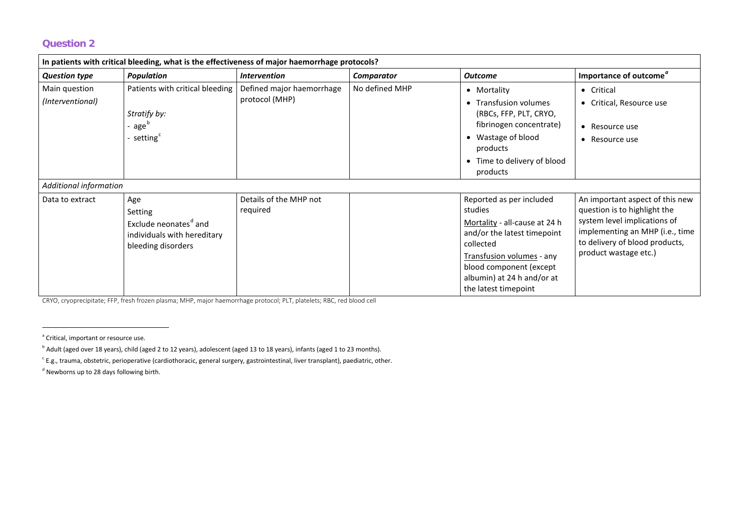<span id="page-1-3"></span><span id="page-1-2"></span><span id="page-1-1"></span><span id="page-1-0"></span>

| In patients with critical bleeding, what is the effectiveness of major haemorrhage protocols? |                                                                                                          |                                             |                   |                                                                                                                                                                                                                                |                                                                                                                                                                                               |  |  |
|-----------------------------------------------------------------------------------------------|----------------------------------------------------------------------------------------------------------|---------------------------------------------|-------------------|--------------------------------------------------------------------------------------------------------------------------------------------------------------------------------------------------------------------------------|-----------------------------------------------------------------------------------------------------------------------------------------------------------------------------------------------|--|--|
| <b>Question type</b>                                                                          | <b>Population</b>                                                                                        | <b>Intervention</b>                         | <b>Comparator</b> | <b>Outcome</b>                                                                                                                                                                                                                 | Importance of outcome <sup>"</sup>                                                                                                                                                            |  |  |
| Main question<br>(Interventional)                                                             | Patients with critical bleeding<br>Stratify by:<br>age <sup>b</sup><br>- setting <sup>c</sup>            | Defined major haemorrhage<br>protocol (MHP) | No defined MHP    | • Mortality<br>• Transfusion volumes<br>(RBCs, FFP, PLT, CRYO,<br>fibrinogen concentrate)<br>• Wastage of blood<br>products<br>• Time to delivery of blood<br>products                                                         | • Critical<br>• Critical, Resource use<br>Resource use<br>$\bullet$<br>Resource use<br>$\bullet$                                                                                              |  |  |
| Additional information                                                                        |                                                                                                          |                                             |                   |                                                                                                                                                                                                                                |                                                                                                                                                                                               |  |  |
| Data to extract                                                                               | Age<br>Setting<br>Exclude neonates <sup>d</sup> and<br>individuals with hereditary<br>bleeding disorders | Details of the MHP not<br>required          |                   | Reported as per included<br>studies<br>Mortality - all-cause at 24 h<br>and/or the latest timepoint<br>collected<br>Transfusion volumes - any<br>blood component (except<br>albumin) at 24 h and/or at<br>the latest timepoint | An important aspect of this new<br>question is to highlight the<br>system level implications of<br>implementing an MHP (i.e., time<br>to delivery of blood products,<br>product wastage etc.) |  |  |

CRYO, cryoprecipitate; FFP, fresh frozen plasma; MHP, major haemorrhage protocol; PLT, platelets; RBC, red blood cell

<sup>&</sup>lt;sup>a</sup> Critical, important or resource use.

<sup>&</sup>lt;sup>b</sup> Adult (aged over 18 years), child (aged 2 to 12 years), adolescent (aged 13 to 18 years), infants (aged 1 to 23 months).

 $\epsilon$  E.g., trauma, obstetric, perioperative (cardiothoracic, general surgery, gastrointestinal, liver transplant), paediatric, other.

 $d$  Newborns up to 28 days following birth.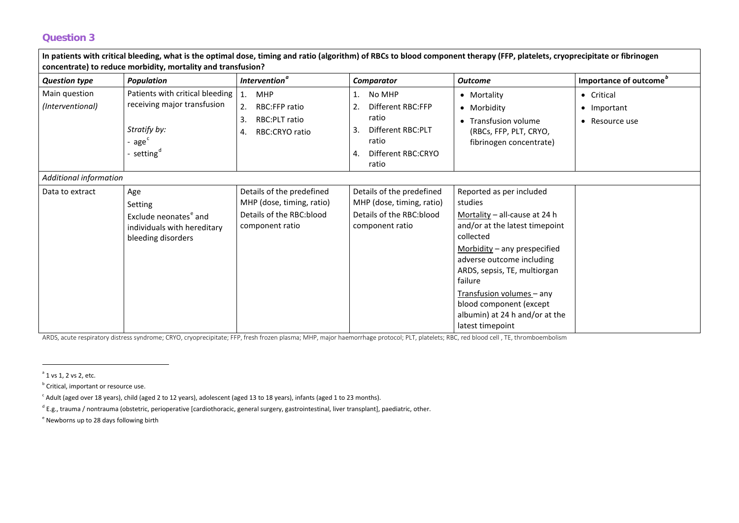<span id="page-2-4"></span><span id="page-2-3"></span><span id="page-2-2"></span><span id="page-2-1"></span><span id="page-2-0"></span>

| In patients with critical bleeding, what is the optimal dose, timing and ratio (algorithm) of RBCs to blood component therapy (FFP, platelets, cryoprecipitate or fibrinogen<br>concentrate) to reduce morbidity, mortality and transfusion? |                                                                                                                            |                                                                                                       |                                                                                                                           |                                                                                                                                                                                                                                                                                                                                             |                                                                |  |  |  |
|----------------------------------------------------------------------------------------------------------------------------------------------------------------------------------------------------------------------------------------------|----------------------------------------------------------------------------------------------------------------------------|-------------------------------------------------------------------------------------------------------|---------------------------------------------------------------------------------------------------------------------------|---------------------------------------------------------------------------------------------------------------------------------------------------------------------------------------------------------------------------------------------------------------------------------------------------------------------------------------------|----------------------------------------------------------------|--|--|--|
| <b>Question type</b>                                                                                                                                                                                                                         | <b>Population</b>                                                                                                          | <b>Intervention<sup>a</sup></b>                                                                       | Comparator                                                                                                                | <b>Outcome</b>                                                                                                                                                                                                                                                                                                                              | Importance of outcome <sup>"</sup>                             |  |  |  |
| Main question<br>(Interventional)                                                                                                                                                                                                            | Patients with critical bleeding<br>receiving major transfusion<br>Stratify by:<br>age <sup>c</sup><br>setting <sup>a</sup> | MHP<br>$\mathbf{1}$ .<br>2.<br><b>RBC:FFP ratio</b><br>RBC:PLT ratio<br>3.<br>RBC:CRYO ratio<br>4.    | 1.<br>No MHP<br>2.<br>Different RBC:FFP<br>ratio<br>Different RBC:PLT<br>3.<br>ratio<br>Different RBC:CRYO<br>4.<br>ratio | • Mortality<br>• Morbidity<br>• Transfusion volume<br>(RBCs, FFP, PLT, CRYO,<br>fibrinogen concentrate)                                                                                                                                                                                                                                     | • Critical<br>$\bullet$ Important<br>Resource use<br>$\bullet$ |  |  |  |
| <b>Additional information</b>                                                                                                                                                                                                                |                                                                                                                            |                                                                                                       |                                                                                                                           |                                                                                                                                                                                                                                                                                                                                             |                                                                |  |  |  |
| Data to extract                                                                                                                                                                                                                              | Age<br>Setting<br>Exclude neonates <sup>e</sup> and<br>individuals with hereditary<br>bleeding disorders                   | Details of the predefined<br>MHP (dose, timing, ratio)<br>Details of the RBC:blood<br>component ratio | Details of the predefined<br>MHP (dose, timing, ratio)<br>Details of the RBC: blood<br>component ratio                    | Reported as per included<br>studies<br>Mortality - all-cause at 24 h<br>and/or at the latest timepoint<br>collected<br>Morbidity $-$ any prespecified<br>adverse outcome including<br>ARDS, sepsis, TE, multiorgan<br>failure<br>Transfusion volumes - any<br>blood component (except<br>albumin) at 24 h and/or at the<br>latest timepoint |                                                                |  |  |  |

ARDS, acute respiratory distress syndrome; CRYO, cryoprecipitate; FFP, fresh frozen plasma; MHP, major haemorrhage protocol; PLT, platelets; RBC, red blood cell , TE, thromboembolism

 $e<sup>e</sup>$  Newborns up to 28 days following birth

 $a$  1 vs 1, 2 vs 2, etc.

 $<sup>b</sup>$  Critical, important or resource use.</sup>

 $\cdot$  Adult (aged over 18 years), child (aged 2 to 12 years), adolescent (aged 13 to 18 years), infants (aged 1 to 23 months).

 $^{\text{d}}$  E.g., trauma / nontrauma (obstetric, perioperative [cardiothoracic, general surgery, gastrointestinal, liver transplant], paediatric, other.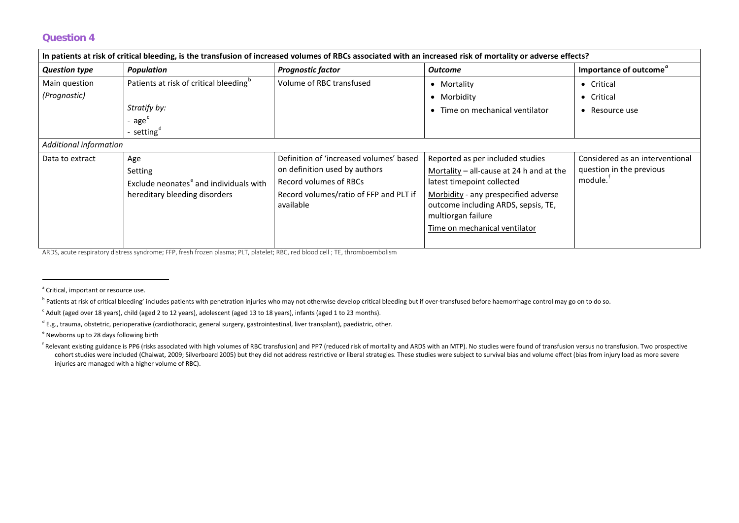<span id="page-3-5"></span><span id="page-3-4"></span><span id="page-3-3"></span><span id="page-3-2"></span><span id="page-3-1"></span><span id="page-3-0"></span>

| In patients at risk of critical bleeding, is the transfusion of increased volumes of RBCs associated with an increased risk of mortality or adverse effects? |                                                    |                                         |                                          |                                    |  |  |
|--------------------------------------------------------------------------------------------------------------------------------------------------------------|----------------------------------------------------|-----------------------------------------|------------------------------------------|------------------------------------|--|--|
| <b>Question type</b>                                                                                                                                         | <b>Population</b>                                  | <b>Prognostic factor</b>                | <b>Outcome</b>                           | Importance of outcome <sup>"</sup> |  |  |
| Main question                                                                                                                                                | Patients at risk of critical bleeding <sup>o</sup> | Volume of RBC transfused                | • Mortality                              | • Critical                         |  |  |
| (Prognostic)                                                                                                                                                 |                                                    |                                         | • Morbidity                              | Critical<br>$\bullet$              |  |  |
|                                                                                                                                                              | Stratify by:                                       |                                         | Time on mechanical ventilator            | • Resource use                     |  |  |
|                                                                                                                                                              | - age <sup>c</sup>                                 |                                         |                                          |                                    |  |  |
|                                                                                                                                                              | - setting <sup>d</sup>                             |                                         |                                          |                                    |  |  |
| Additional information                                                                                                                                       |                                                    |                                         |                                          |                                    |  |  |
| Data to extract                                                                                                                                              | Age                                                | Definition of 'increased volumes' based | Reported as per included studies         | Considered as an interventional    |  |  |
|                                                                                                                                                              | Setting                                            | on definition used by authors           | Mortality - all-cause at 24 h and at the | question in the previous           |  |  |
|                                                                                                                                                              | Exclude neonates <sup>e</sup> and individuals with | Record volumes of RBCs                  | latest timepoint collected               | module.                            |  |  |
|                                                                                                                                                              | hereditary bleeding disorders                      | Record volumes/ratio of FFP and PLT if  | Morbidity - any prespecified adverse     |                                    |  |  |
|                                                                                                                                                              |                                                    | available                               | outcome including ARDS, sepsis, TE,      |                                    |  |  |
|                                                                                                                                                              |                                                    |                                         | multiorgan failure                       |                                    |  |  |
|                                                                                                                                                              |                                                    |                                         | Time on mechanical ventilator            |                                    |  |  |
|                                                                                                                                                              |                                                    |                                         |                                          |                                    |  |  |

ARDS, acute respiratory distress syndrome; FFP, fresh frozen plasma; PLT, platelet; RBC, red blood cell ; TE, thromboembolism

<sup>&</sup>lt;sup>a</sup> Critical, important or resource use.

<sup>&</sup>lt;sup>b</sup> Patients at risk of critical bleeding' includes patients with penetration injuries who may not otherwise develop critical bleeding but if over-transfused before haemorrhage control may go on to do so.

 $c$  Adult (aged over 18 years), child (aged 2 to 12 years), adolescent (aged 13 to 18 years), infants (aged 1 to 23 months).

 $^{\text{d}}$  E.g., trauma, obstetric, perioperative (cardiothoracic, general surgery, gastrointestinal, liver transplant), paediatric, other.

<sup>e</sup> Newborns up to 28 days following birth

<sup>&</sup>lt;sup>f</sup> Relevant existing guidance is PP6 (risks associated with high volumes of RBC transfusion) and PP7 (reduced risk of mortality and ARDS with an MTP). No studies were found of transfusion versus no transfusion. Two prospe cohort studies were included (Chaiwat, 2009; Silverboard 2005) but they did not address restrictive or liberal strategies. These studies were subject to survival bias and volume effect (bias from injury load as more severe injuries are managed with a higher volume of RBC).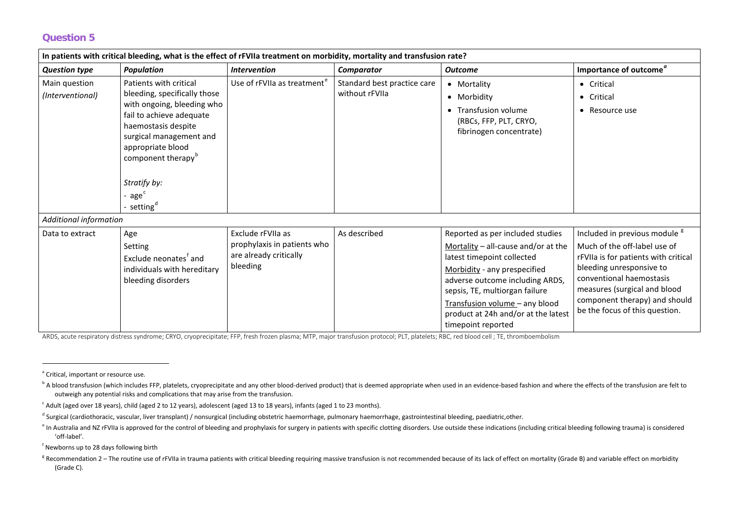<span id="page-4-6"></span><span id="page-4-5"></span><span id="page-4-4"></span><span id="page-4-3"></span><span id="page-4-2"></span><span id="page-4-1"></span><span id="page-4-0"></span>

| In patients with critical bleeding, what is the effect of rFVIIa treatment on morbidity, mortality and transfusion rate? |                                                                                                                                                                                                                                                                                 |                                                                                        |                                               |                                                                                                                                                                                                                                                                                                             |                                                                                                                                                                                                                                                                             |  |
|--------------------------------------------------------------------------------------------------------------------------|---------------------------------------------------------------------------------------------------------------------------------------------------------------------------------------------------------------------------------------------------------------------------------|----------------------------------------------------------------------------------------|-----------------------------------------------|-------------------------------------------------------------------------------------------------------------------------------------------------------------------------------------------------------------------------------------------------------------------------------------------------------------|-----------------------------------------------------------------------------------------------------------------------------------------------------------------------------------------------------------------------------------------------------------------------------|--|
| <b>Question type</b>                                                                                                     | <b>Population</b>                                                                                                                                                                                                                                                               | <b>Intervention</b>                                                                    | Comparator                                    | <b>Outcome</b>                                                                                                                                                                                                                                                                                              | Importance of outcome <sup>"</sup>                                                                                                                                                                                                                                          |  |
| Main question<br>(Interventional)                                                                                        | Patients with critical<br>bleeding, specifically those<br>with ongoing, bleeding who<br>fail to achieve adequate<br>haemostasis despite<br>surgical management and<br>appropriate blood<br>component therapy <sup>b</sup><br>Stratify by:<br>- $agec$<br>· setting <sup>a</sup> | Use of rFVIIa as treatment <sup>e</sup>                                                | Standard best practice care<br>without rFVIIa | • Mortality<br>• Morbidity<br>• Transfusion volume<br>(RBCs, FFP, PLT, CRYO,<br>fibrinogen concentrate)                                                                                                                                                                                                     | • Critical<br>Critical<br>$\bullet$<br>Resource use<br>$\bullet$                                                                                                                                                                                                            |  |
| Additional information                                                                                                   |                                                                                                                                                                                                                                                                                 |                                                                                        |                                               |                                                                                                                                                                                                                                                                                                             |                                                                                                                                                                                                                                                                             |  |
| Data to extract                                                                                                          | Age<br>Setting<br>Exclude neonates <sup>f</sup> and<br>individuals with hereditary<br>bleeding disorders                                                                                                                                                                        | Exclude rFVIIa as<br>prophylaxis in patients who<br>are already critically<br>bleeding | As described                                  | Reported as per included studies<br>Mortality $-$ all-cause and/or at the<br>latest timepoint collected<br>Morbidity - any prespecified<br>adverse outcome including ARDS,<br>sepsis, TE, multiorgan failure<br>Transfusion volume - any blood<br>product at 24h and/or at the latest<br>timepoint reported | Included in previous module <sup>g</sup><br>Much of the off-label use of<br>rFVIIa is for patients with critical<br>bleeding unresponsive to<br>conventional haemostasis<br>measures (surgical and blood<br>component therapy) and should<br>be the focus of this question. |  |

ARDS, acute respiratory distress syndrome; CRYO, cryoprecipitate; FFP, fresh frozen plasma; MTP, major transfusion protocol; PLT, platelets; RBC, red blood cell ; TE, thromboembolism

<sup>&</sup>lt;sup>a</sup> Critical, important or resource use.

<sup>&</sup>lt;sup>b</sup> A blood transfusion (which includes FFP, platelets, cryoprecipitate and any other blood-derived product) that is deemed appropriate when used in an evidence-based fashion and where the effects of the transfusion are fe outweigh any potential risks and complications that may arise from the transfusion.

 $c$  Adult (aged over 18 years), child (aged 2 to 12 years), adolescent (aged 13 to 18 years), infants (aged 1 to 23 months).

<sup>&</sup>lt;sup>d</sup> Surgical (cardiothoracic, vascular, liver transplant) / nonsurgical (including obstetric haemorrhage, pulmonary haemorrhage, gastrointestinal bleeding, paediatric,other.

e In Australia and NZ rFVIIa is approved for the control of bleeding and prophylaxis for surgery in patients with specific clotting disorders. Use outside these indications (including critical bleeding following trauma) is 'off-label'.

f Newborns up to 28 days following birth

<sup>&</sup>lt;sup>g</sup> Recommendation 2 – The routine use of rFVIIa in trauma patients with critical bleeding requiring massive transfusion is not recommended because of its lack of effect on mortality (Grade B) and variable effect on morbid (Grade C).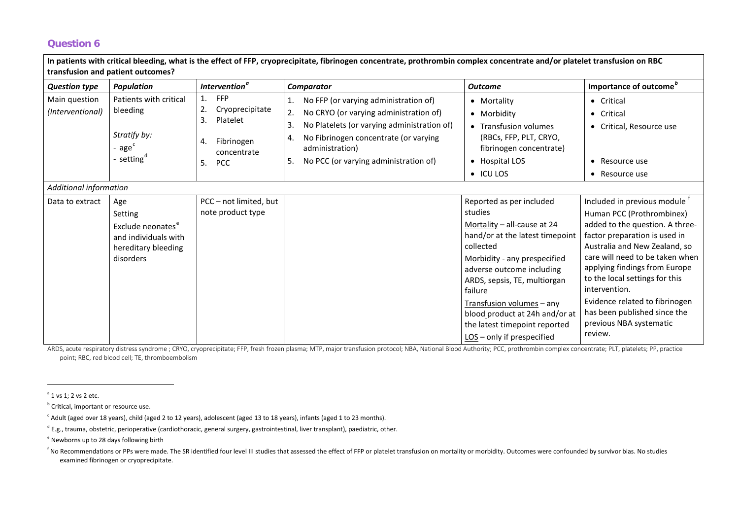<span id="page-5-5"></span><span id="page-5-4"></span><span id="page-5-3"></span><span id="page-5-2"></span><span id="page-5-1"></span><span id="page-5-0"></span>

| In patients with critical bleeding, what is the effect of FFP, cryoprecipitate, fibrinogen concentrate, prothrombin complex concentrate and/or platelet transfusion on RBC<br>transfusion and patient outcomes? |                                                                                                             |                                                                                                              |                                                                                                                                                                                                                                                                   |                                                                                                                                                                                                                                                                                                                                                          |                                                                                                                                                                                                                                                                                                                                                                                              |  |  |
|-----------------------------------------------------------------------------------------------------------------------------------------------------------------------------------------------------------------|-------------------------------------------------------------------------------------------------------------|--------------------------------------------------------------------------------------------------------------|-------------------------------------------------------------------------------------------------------------------------------------------------------------------------------------------------------------------------------------------------------------------|----------------------------------------------------------------------------------------------------------------------------------------------------------------------------------------------------------------------------------------------------------------------------------------------------------------------------------------------------------|----------------------------------------------------------------------------------------------------------------------------------------------------------------------------------------------------------------------------------------------------------------------------------------------------------------------------------------------------------------------------------------------|--|--|
| <b>Question type</b>                                                                                                                                                                                            | <b>Population</b>                                                                                           | Intervention <sup>a</sup>                                                                                    | Comparator                                                                                                                                                                                                                                                        | <b>Outcome</b>                                                                                                                                                                                                                                                                                                                                           | Importance of outcome <sup>b</sup>                                                                                                                                                                                                                                                                                                                                                           |  |  |
| Main question<br>(Interventional)                                                                                                                                                                               | Patients with critical<br>bleeding<br>Stratify by:<br>age <sup>c</sup><br>setting <sup>d</sup>              | <b>FFP</b><br>1.<br>2.<br>Cryoprecipitate<br>Platelet<br>3.<br>Fibrinogen<br>concentrate<br>5.<br><b>PCC</b> | No FFP (or varying administration of)<br>1.<br>No CRYO (or varying administration of)<br>2.<br>No Platelets (or varying administration of)<br>3.<br>No Fibrinogen concentrate (or varying<br>4.<br>administration)<br>No PCC (or varying administration of)<br>5. | • Mortality<br>• Morbidity<br>• Transfusion volumes<br>(RBCs, FFP, PLT, CRYO,<br>fibrinogen concentrate)<br>• Hospital LOS<br>$\bullet$ ICU LOS                                                                                                                                                                                                          | • Critical<br>• Critical<br>• Critical, Resource use<br>• Resource use<br>• Resource use                                                                                                                                                                                                                                                                                                     |  |  |
| <b>Additional information</b>                                                                                                                                                                                   |                                                                                                             |                                                                                                              |                                                                                                                                                                                                                                                                   |                                                                                                                                                                                                                                                                                                                                                          |                                                                                                                                                                                                                                                                                                                                                                                              |  |  |
| Data to extract                                                                                                                                                                                                 | Age<br>Setting<br>Exclude neonates <sup>e</sup><br>and individuals with<br>hereditary bleeding<br>disorders | PCC - not limited, but<br>note product type                                                                  |                                                                                                                                                                                                                                                                   | Reported as per included<br>studies<br>Mortality - all-cause at 24<br>hand/or at the latest timepoint<br>collected<br>Morbidity - any prespecified<br>adverse outcome including<br>ARDS, sepsis, TE, multiorgan<br>failure<br>Transfusion volumes - any<br>blood_product at 24h and/or at<br>the latest timepoint reported<br>LOS - only if prespecified | Included in previous module<br>Human PCC (Prothrombinex)<br>added to the question. A three-<br>factor preparation is used in<br>Australia and New Zealand, so<br>care will need to be taken when<br>applying findings from Europe<br>to the local settings for this<br>intervention.<br>Evidence related to fibrinogen<br>has been published since the<br>previous NBA systematic<br>review. |  |  |

ARDS, acute respiratory distress syndrome ; CRYO, cryoprecipitate; FFP, fresh frozen plasma; MTP, major transfusion protocol; NBA, National Blood Authority; PCC, prothrombin complex concentrate; PLT, platelets; PP, practice point; RBC, red blood cell; TE, thromboembolism

 $a$  1 vs 1; 2 vs 2 etc.

**b** Critical, important or resource use.

 $c$  Adult (aged over 18 years), child (aged 2 to 12 years), adolescent (aged 13 to 18 years), infants (aged 1 to 23 months).

 $^{\circ}$  E.g., trauma, obstetric, perioperative (cardiothoracic, general surgery, gastrointestinal, liver transplant), paediatric, other.

<sup>e</sup> Newborns up to 28 days following birth

<sup>&</sup>lt;sup>f</sup> No Recommendations or PPs were made. The SR identified four level III studies that assessed the effect of FFP or platelet transfusion on mortality or morbidity. Outcomes were confounded by survivor bias. No studies examined fibrinogen or cryoprecipitate.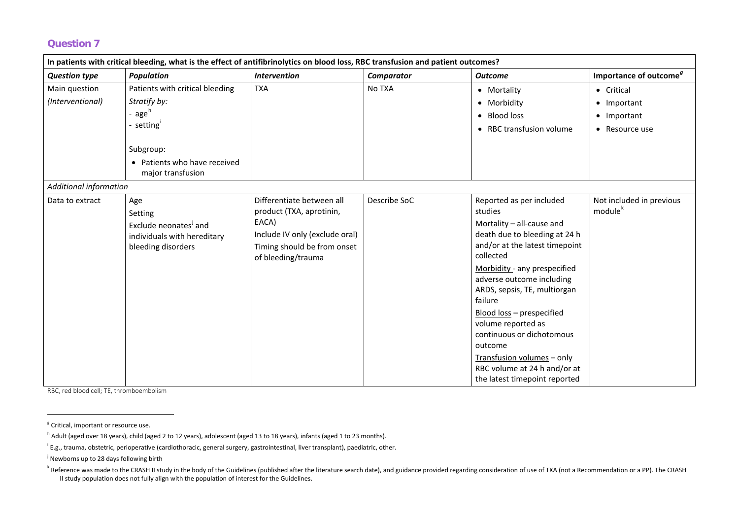<span id="page-6-4"></span><span id="page-6-3"></span><span id="page-6-2"></span><span id="page-6-1"></span><span id="page-6-0"></span>

| In patients with critical bleeding, what is the effect of antifibrinolytics on blood loss, RBC transfusion and patient outcomes? |                                                                                                          |                                                                                                                                                       |              |                                                                                                                                                                                                                                                                                                                                                                                                                                                    |                                                                       |  |
|----------------------------------------------------------------------------------------------------------------------------------|----------------------------------------------------------------------------------------------------------|-------------------------------------------------------------------------------------------------------------------------------------------------------|--------------|----------------------------------------------------------------------------------------------------------------------------------------------------------------------------------------------------------------------------------------------------------------------------------------------------------------------------------------------------------------------------------------------------------------------------------------------------|-----------------------------------------------------------------------|--|
| <b>Question type</b>                                                                                                             | <b>Population</b>                                                                                        | <b>Intervention</b>                                                                                                                                   | Comparator   | <b>Outcome</b>                                                                                                                                                                                                                                                                                                                                                                                                                                     | Importance of outcome <sup>9</sup>                                    |  |
| Main question<br>(Interventional)                                                                                                | Patients with critical bleeding<br>Stratify by:<br>age <sup>h</sup><br>setting <sup>1</sup><br>Subgroup: | <b>TXA</b>                                                                                                                                            | No TXA       | • Mortality<br>• Morbidity<br>• Blood loss<br>• RBC transfusion volume                                                                                                                                                                                                                                                                                                                                                                             | • Critical<br>• Important<br>Important<br>$\bullet$<br>• Resource use |  |
|                                                                                                                                  | • Patients who have received<br>major transfusion                                                        |                                                                                                                                                       |              |                                                                                                                                                                                                                                                                                                                                                                                                                                                    |                                                                       |  |
| Additional information<br>Data to extract                                                                                        | Age<br>Setting<br>Exclude neonates <sup>j</sup> and<br>individuals with hereditary<br>bleeding disorders | Differentiate between all<br>product (TXA, aprotinin,<br>EACA)<br>Include IV only (exclude oral)<br>Timing should be from onset<br>of bleeding/trauma | Describe SoC | Reported as per included<br>studies<br>Mortality - all-cause and<br>death due to bleeding at 24 h<br>and/or at the latest timepoint<br>collected<br>Morbidity - any prespecified<br>adverse outcome including<br>ARDS, sepsis, TE, multiorgan<br>failure<br>Blood loss - prespecified<br>volume reported as<br>continuous or dichotomous<br>outcome<br>Transfusion volumes - only<br>RBC volume at 24 h and/or at<br>the latest timepoint reported | Not included in previous<br>module <sup>k</sup>                       |  |

RBC, red blood cell; TE, thromboembolism

<sup>g</sup> Critical, important or resource use.

<sup>h</sup> Adult (aged over 18 years), child (aged 2 to 12 years), adolescent (aged 13 to 18 years), infants (aged 1 to 23 months).

i E.g., trauma, obstetric, perioperative (cardiothoracic, general surgery, gastrointestinal, liver transplant), paediatric, other.

<sup>&</sup>lt;sup>j</sup> Newborns up to 28 days following birth

<sup>&</sup>lt;sup>k</sup> Reference was made to the CRASH II study in the body of the Guidelines (published after the literature search date), and guidance provided regarding consideration of use of TXA (not a Recommendation or a PP). The CRASH II study population does not fully align with the population of interest for the Guidelines.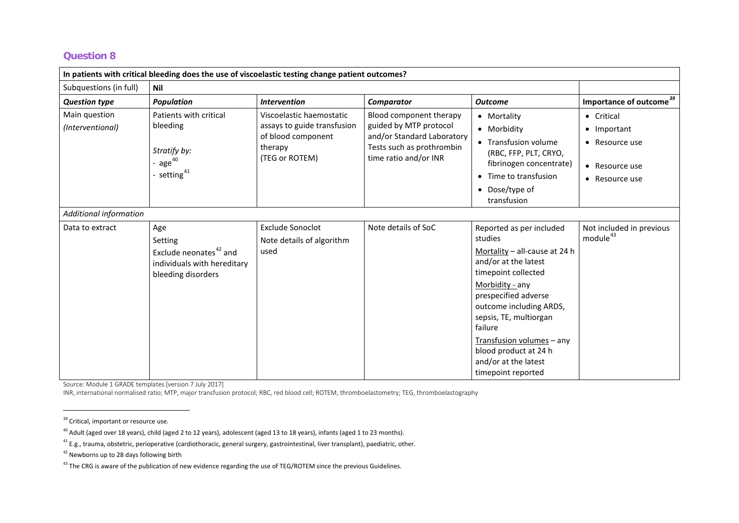<span id="page-7-4"></span><span id="page-7-3"></span><span id="page-7-2"></span><span id="page-7-1"></span><span id="page-7-0"></span>

| In patients with critical bleeding does the use of viscoelastic testing change patient outcomes? |                                                                                                           |                                                                                                            |                                                                                                                                       |                                                                                                                                                                                                                                                                                                                                    |                                                                                            |  |
|--------------------------------------------------------------------------------------------------|-----------------------------------------------------------------------------------------------------------|------------------------------------------------------------------------------------------------------------|---------------------------------------------------------------------------------------------------------------------------------------|------------------------------------------------------------------------------------------------------------------------------------------------------------------------------------------------------------------------------------------------------------------------------------------------------------------------------------|--------------------------------------------------------------------------------------------|--|
| Subquestions (in full)                                                                           | Nil                                                                                                       |                                                                                                            |                                                                                                                                       |                                                                                                                                                                                                                                                                                                                                    |                                                                                            |  |
| <b>Question type</b>                                                                             | <b>Population</b>                                                                                         | <b>Intervention</b>                                                                                        | Comparator                                                                                                                            | <b>Outcome</b>                                                                                                                                                                                                                                                                                                                     | Importance of outcome <sup>39</sup>                                                        |  |
| Main question<br>(Interventional)                                                                | Patients with critical<br>bleeding<br>Stratify by:<br>- age $^{40}$<br>- setting <sup>41</sup>            | Viscoelastic haemostatic<br>assays to guide transfusion<br>of blood component<br>therapy<br>(TEG or ROTEM) | Blood component therapy<br>guided by MTP protocol<br>and/or Standard Laboratory<br>Tests such as prothrombin<br>time ratio and/or INR | • Mortality<br>• Morbidity<br>• Transfusion volume<br>(RBC, FFP, PLT, CRYO,<br>fibrinogen concentrate)<br>• Time to transfusion<br>• Dose/type of<br>transfusion                                                                                                                                                                   | • Critical<br>• Important<br>• Resource use<br>Resource use<br>$\bullet$<br>• Resource use |  |
| Additional information                                                                           |                                                                                                           |                                                                                                            |                                                                                                                                       |                                                                                                                                                                                                                                                                                                                                    |                                                                                            |  |
| Data to extract                                                                                  | Age<br>Setting<br>Exclude neonates <sup>42</sup> and<br>individuals with hereditary<br>bleeding disorders | <b>Exclude Sonoclot</b><br>Note details of algorithm<br>used                                               | Note details of SoC                                                                                                                   | Reported as per included<br>studies<br>Mortality - all-cause at 24 h<br>and/or at the latest<br>timepoint collected<br>Morbidity - any<br>prespecified adverse<br>outcome including ARDS,<br>sepsis, TE, multiorgan<br>failure<br>Transfusion volumes - any<br>blood product at 24 h<br>and/or at the latest<br>timepoint reported | Not included in previous<br>module <sup>43</sup>                                           |  |

Source: Module 1 GRADE templates [version 7 July 2017]

INR, international normalised ratio; MTP, major transfusion protocol; RBC, red blood cell; ROTEM, thromboelastometry; TEG, thromboelastography

<sup>&</sup>lt;sup>39</sup> Critical, important or resource use.

<sup>&</sup>lt;sup>40</sup> Adult (aged over 18 years), child (aged 2 to 12 years), adolescent (aged 13 to 18 years), infants (aged 1 to 23 months).

 $41$  E.g., trauma, obstetric, perioperative (cardiothoracic, general surgery, gastrointestinal, liver transplant), paediatric, other.

 $42$  Newborns up to 28 days following birth

<sup>&</sup>lt;sup>43</sup> The CRG is aware of the publication of new evidence regarding the use of TEG/ROTEM since the previous Guidelines.